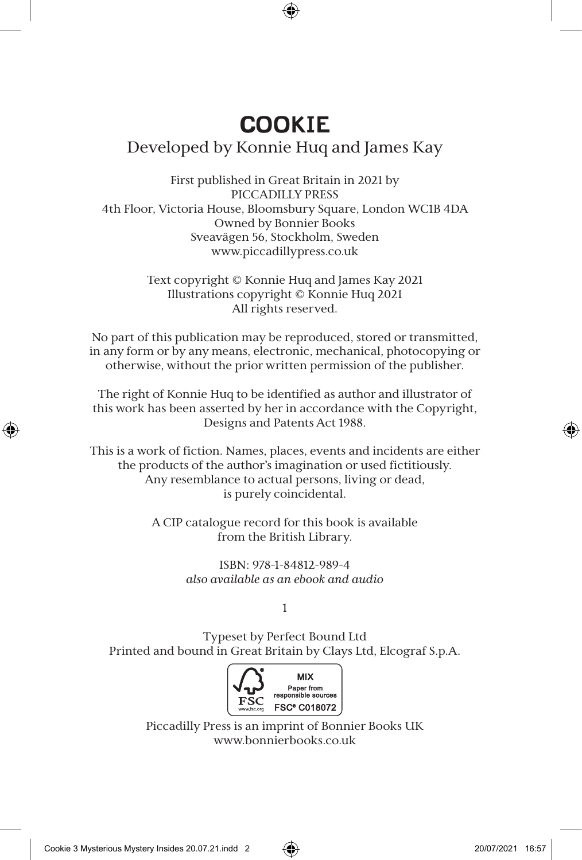## **COOKIE** Developed by Konnie Huq and James Kay

First published in Great Britain in 2021 by PICCADILLY PRESS 4th Floor, Victoria House, Bloomsbury Square, London WC1B 4DA Owned by Bonnier Books Sveavägen 56, Stockholm, Sweden www.piccadillypress.co.uk

> Text copyright © Konnie Huq and James Kay 2021 Illustrations copyright © Konnie Huq 2021 All rights reserved.

No part of this publication may be reproduced, stored or transmitted, in any form or by any means, electronic, mechanical, photocopying or otherwise, without the prior written permission of the publisher.

The right of Konnie Huq to be identified as author and illustrator of this work has been asserted by her in accordance with the Copyright, Designs and Patents Act 1988.

This is a work of fiction. Names, places, events and incidents are either the products of the author's imagination or used fictitiously. Any resemblance to actual persons, living or dead, is purely coincidental.

> A CIP catalogue record for this book is available from the British Library.

> > ISBN: 978-1-84812-989-4 *also available as an ebook and audio*

> > > 1

Typeset by Perfect Bound Ltd Printed and bound in Great Britain by Clays Ltd, Elcograf S.p.A.



Piccadilly Press is an imprint of Bonnier Books UK www.bonnierbooks.co.uk

⊕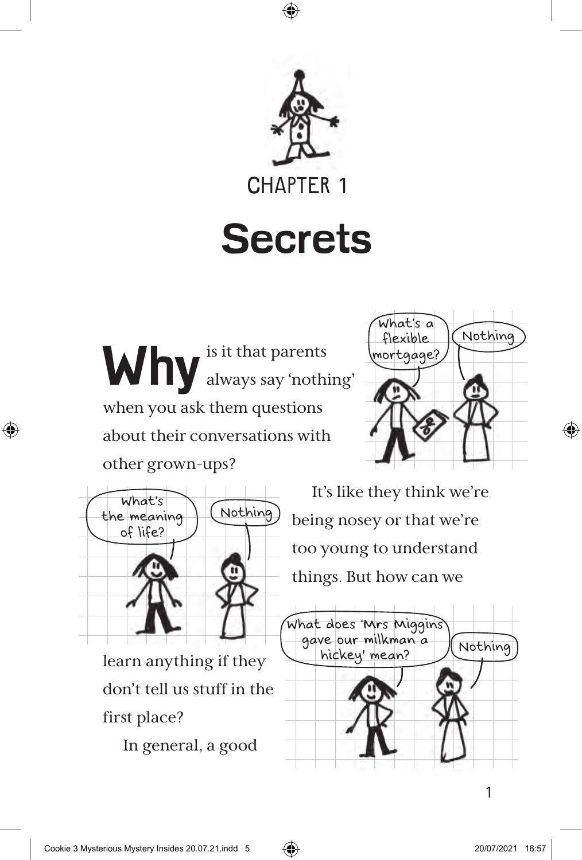

⊕

## **Secrets**

**Why** is it that parents always say 'nothing' when you ask them questions about their conversations with other grown-ups?



⊕



learn anything if they don't tell us stuff in the

In general, a good

It's like they think we're being nosey or that we're too young to understand things. But how can we



1

first place?

◈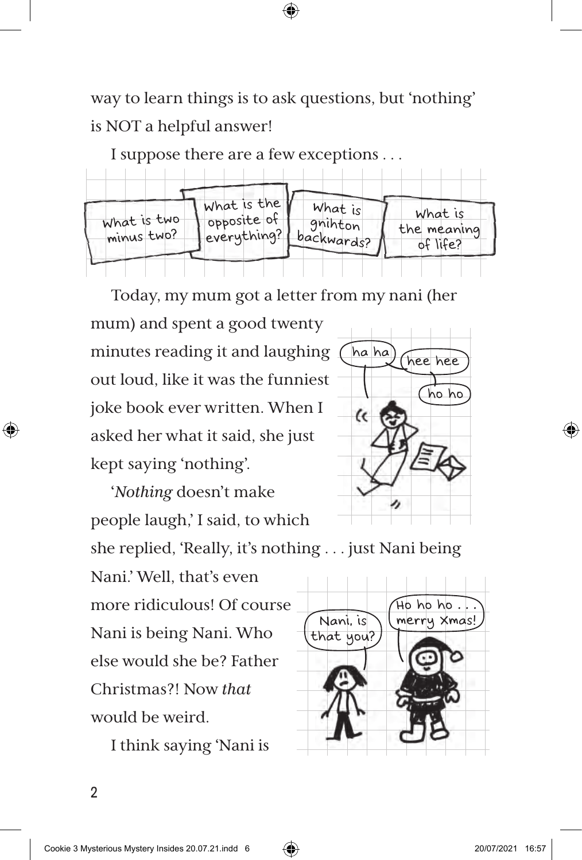way to learn things is to ask questions, but 'nothing' is NOT a helpful answer!

⊕

I suppose there are a few exceptions . . .



Today, my mum got a letter from my nani (her

mum) and spent a good twenty minutes reading it and laughing out loud, like it was the funniest joke book ever written. When I asked her what it said, she just kept saying 'nothing'.

'*Nothing* doesn't make people laugh,' I said, to which

she replied, 'Really, it's nothing . . . just Nani being

Nani.' Well, that's even more ridiculous! Of course Nani is being Nani. Who else would she be? Father Christmas?! Now *that* would be weird.

I think saying 'Nani is



ha ha) (hee hee

 $\epsilon$ 

ho ho

⊕

2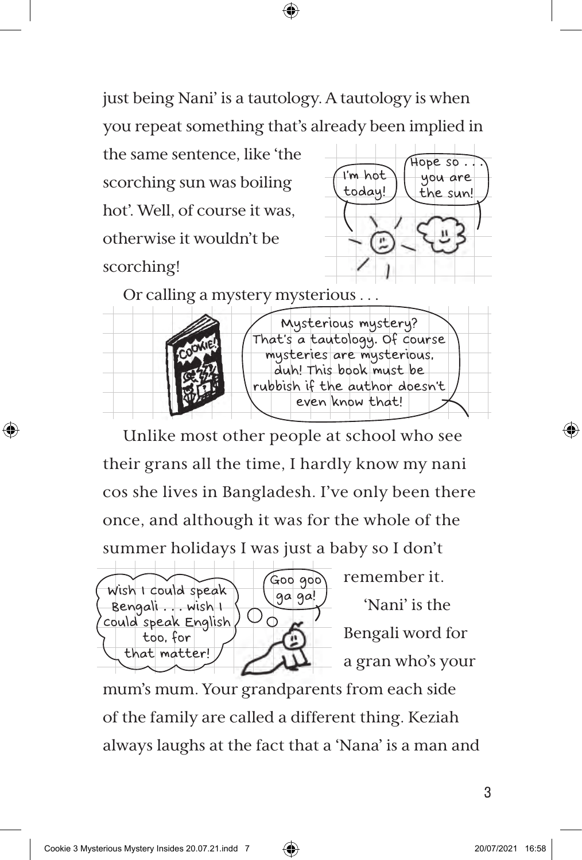just being Nani' is a tautology. A tautology is when you repeat something that's already been implied in

⊕

the same sentence, like 'the scorching sun was boiling hot'. Well, of course it was, otherwise it wouldn't be scorching!



Or calling a mystery mysterious . . .



Unlike most other people at school who see their grans all the time, I hardly know my nani cos she lives in Bangladesh. I've only been there once, and although it was for the whole of the summer holidays I was just a baby so I don't



remember it.

'Nani' is the Bengali word for a gran who's your

mum's mum. Your grandparents from each side of the family are called a different thing. Keziah always laughs at the fact that a 'Nana' is a man and

⊕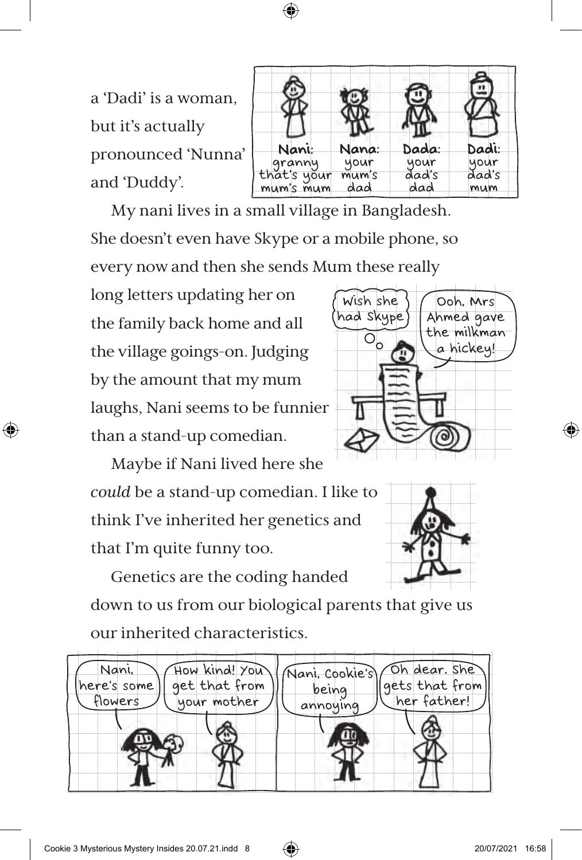

a 'Dadi' is a woman, but it's actually pronounced 'Nunna' and 'Duddy'.

| Nani:                              | Nana:        | Dada:        | Dadi:        |
|------------------------------------|--------------|--------------|--------------|
|                                    | your         | your         | your         |
| granny<br>that's your<br>mum's mum | mum's<br>dad | ðad's<br>dad | ðad's<br>mum |

My nani lives in a small village in Bangladesh. She doesn't even have Skype or a mobile phone, so every now and then she sends Mum these really

long letters updating her on the family back home and all the village goings-on. Judging by the amount that my mum laughs, Nani seems to be funnier than a stand-up comedian.

⊕

Maybe if Nani lived here she *could* be a stand-up comedian. I like to think I've inherited her genetics and that I'm quite funny too.

Genetics are the coding handed down to us from our biological parents that give us our inherited characteristics.







Cookie 3 Mysterious Mystery Insides 20.07.21.indd 8 20.07 20107/2021 16:58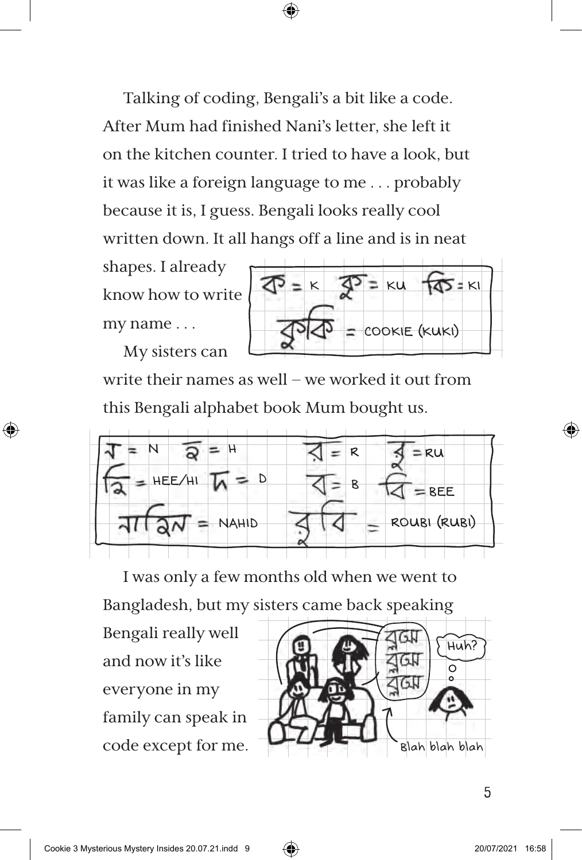Talking of coding, Bengali's a bit like a code. After Mum had finished Nani's letter, she left it on the kitchen counter. I tried to have a look, but it was like a foreign language to me . . . probably because it is, I guess. Bengali looks really cool written down. It all hangs off a line and is in neat

⊕

shapes. I already know how to write my name . . .

My sisters can

⊕



write their names as well – we worked it out from this Bengali alphabet book Mum bought us.



I was only a few months old when we went to

Bangladesh, but my sisters came back speaking

Bengali really well and now it's like everyone in my family can speak in code except for me.

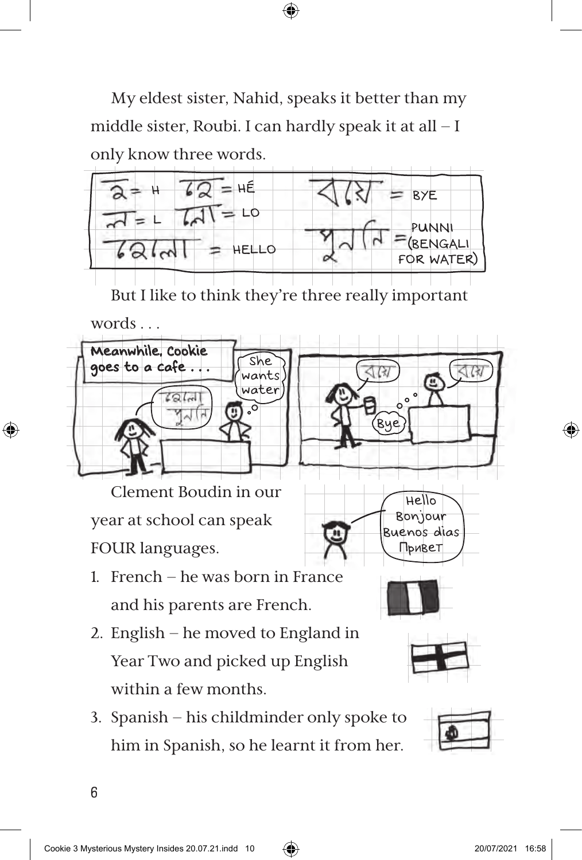My eldest sister, Nahid, speaks it better than my middle sister, Roubi. I can hardly speak it at all – I only know three words.

⊕



But I like to think they're three really important



6

⊕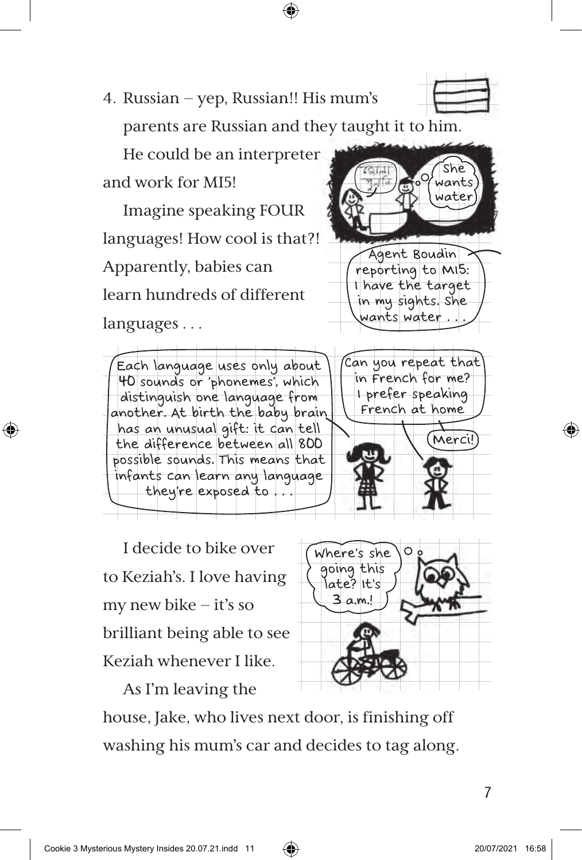house, Jake, who lives next door, is finishing off washing his mum's car and decides to tag along.

I decide to bike over to Keziah's. I love having my new bike – it's so possible sounds. This means that infants can learn any language they're exposed to . . .

brilliant being able to see Keziah whenever I like.

As I'm leaving the

Apparently, babies can learn hundreds of different languages . . . Each language uses only about 40 sounds or 'phonemes', which distinguish one language from

another. At birth the baby brain has an unusual gift: it can tell the difference between all 800

⊕

parents are Russian and they taught it to him. He could be an interpreter

4. Russian – yep, Russian!! His mum's



languages! How cool is that?!



She rants water



I prefer speaking French at home

Merci!

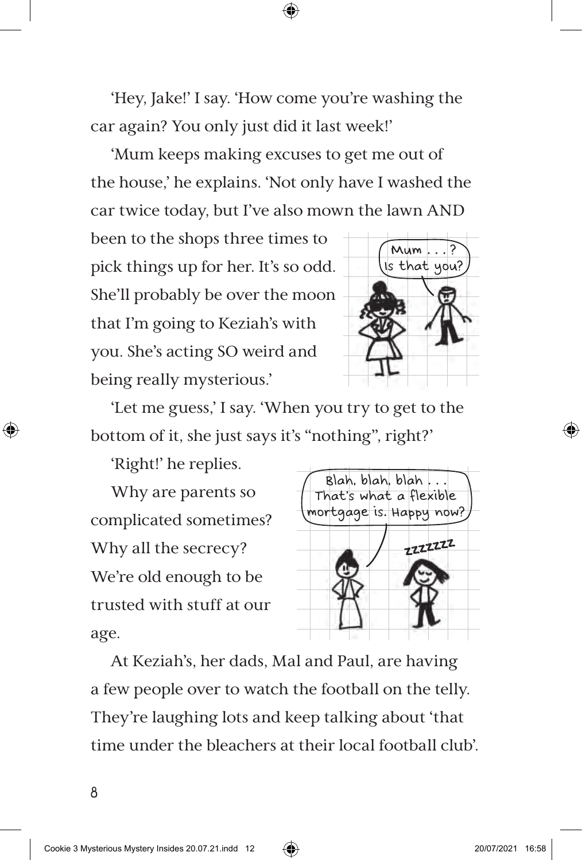'Hey, Jake!' I say. 'How come you're washing the car again? You only just did it last week!'

⊕

'Mum keeps making excuses to get me out of the house,' he explains. 'Not only have I washed the car twice today, but I've also mown the lawn AND

been to the shops three times to pick things up for her. It's so odd. She'll probably be over the moon that I'm going to Keziah's with you. She's acting SO weird and being really mysterious.'



'Let me guess,' I say. 'When you try to get to the bottom of it, she just says it's "nothing", right?'

'Right!' he replies.

Why are parents so complicated sometimes? Why all the secrecy? We're old enough to be trusted with stuff at our age.



At Keziah's, her dads, Mal and Paul, are having a few people over to watch the football on the telly. They're laughing lots and keep talking about 'that time under the bleachers at their local football club'.

⊕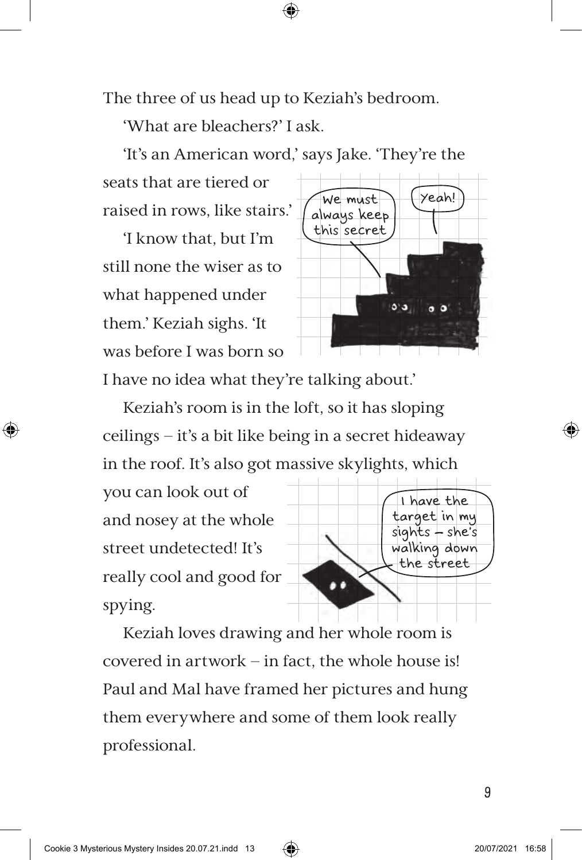The three of us head up to Keziah's bedroom.

'What are bleachers?' I ask.

'It's an American word,' says Jake. 'They're the

⊕

seats that are tiered or raised in rows, like stairs.'

'I know that, but I'm still none the wiser as to what happened under them.' Keziah sighs. 'It was before I was born so



I have no idea what they're talking about.'

Keziah's room is in the loft, so it has sloping ceilings – it's a bit like being in a secret hideaway in the roof. It's also got massive skylights, which

you can look out of and nosey at the whole street undetected! It's really cool and good for spying.

⊕



Keziah loves drawing and her whole room is covered in artwork – in fact, the whole house is! Paul and Mal have framed her pictures and hung them everywhere and some of them look really professional.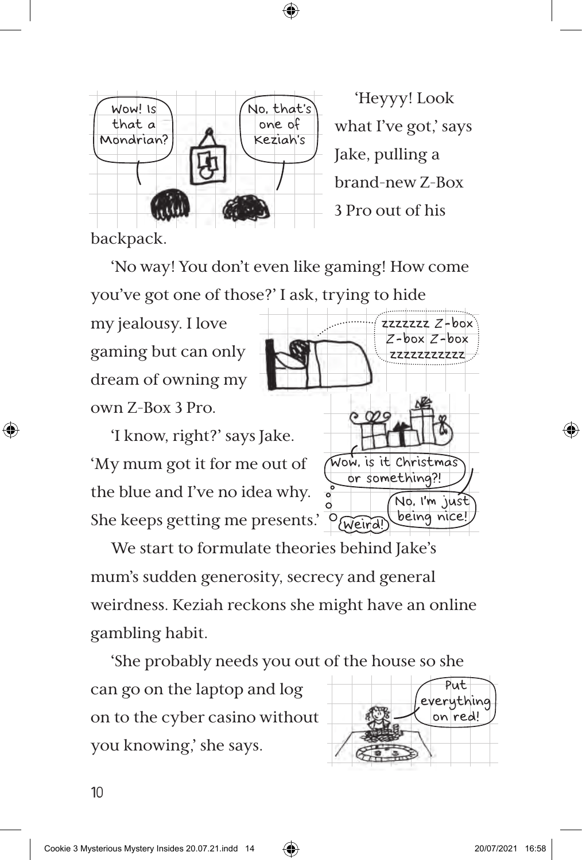⊕



'Heyyy! Look what I've got,' says Jake, pulling a brand-new Z-Box 3 Pro out of his

backpack.

⊕

'No way! You don't even like gaming! How come you've got one of those?' I ask, trying to hide

my jealousy. I love gaming but can only dream of owning my own Z-Box 3 Pro.

'I know, right?' says Jake. 'My mum got it for me out of the blue and I've no idea why. She keeps getting me presents.'



We start to formulate theories behind Jake's mum's sudden generosity, secrecy and general weirdness. Keziah reckons she might have an online gambling habit.

'She probably needs you out of the house so she

can go on the laptop and log on to the cyber casino without you knowing,' she says.

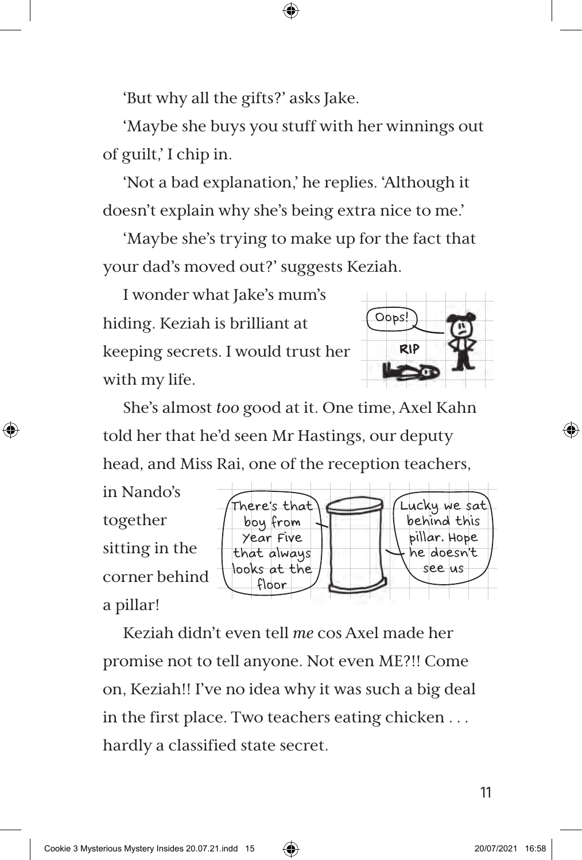'But why all the gifts?' asks Jake.

'Maybe she buys you stuff with her winnings out of guilt,' I chip in.

⊕

'Not a bad explanation,' he replies. 'Although it doesn't explain why she's being extra nice to me.'

'Maybe she's trying to make up for the fact that your dad's moved out?' suggests Keziah.

I wonder what Jake's mum's hiding. Keziah is brilliant at keeping secrets. I would trust her with my life.



She's almost *too* good at it. One time, Axel Kahn told her that he'd seen Mr Hastings, our deputy head, and Miss Rai, one of the reception teachers,



Keziah didn't even tell *me* cos Axel made her promise not to tell anyone. Not even ME?!! Come on, Keziah!! I've no idea why it was such a big deal in the first place. Two teachers eating chicken . . . hardly a classified state secret.

⊕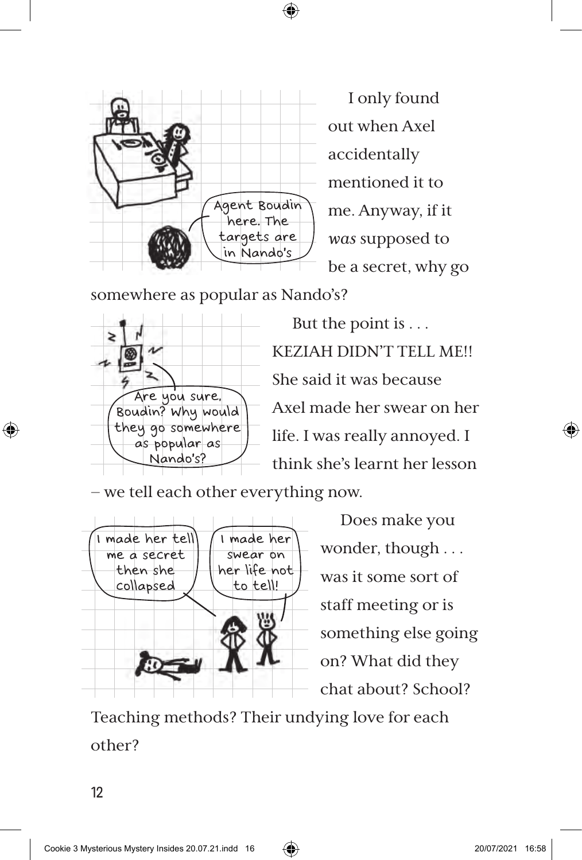

I only found out when Axel accidentally mentioned it to me. Anyway, if it *was* supposed to be a secret, why go

somewhere as popular as Nando's?



But the point is . . . KEZIAH DIDN'T TELL ME!! She said it was because Axel made her swear on her life. I was really annoyed. I think she's learnt her lesson

– we tell each other everything now.



Does make you wonder, though . . . was it some sort of staff meeting or is something else going on? What did they chat about? School?

Teaching methods? Their undying love for each other?

12

⊕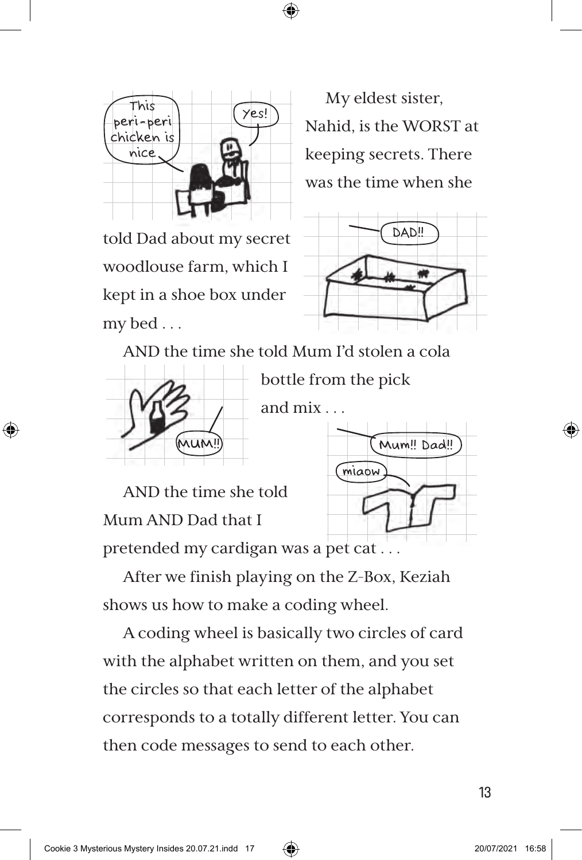



My eldest sister, Nahid, is the WORST at keeping secrets. There was the time when she

told Dad about my secret woodlouse farm, which I kept in a shoe box under my bed . . .



AND the time she told Mum I'd stolen a cola



⊕

bottle from the pick

AND the time she told Mum AND Dad that I



pretended my cardigan was a pet cat . . .

After we finish playing on the Z-Box, Keziah shows us how to make a coding wheel.

A coding wheel is basically two circles of card with the alphabet written on them, and you set the circles so that each letter of the alphabet corresponds to a totally different letter. You can then code messages to send to each other.